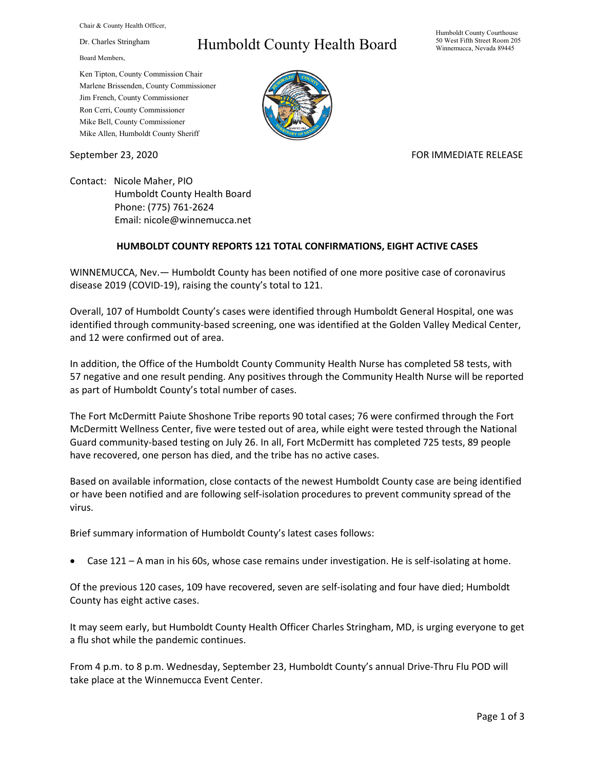Chair & County Health Officer,

Dr. Charles Stringham

Board Members,

## Humboldt County Health Board

Humboldt County Courthouse 50 West Fifth Street Room 205 Winnemucca, Nevada 89445

Ken Tipton, County Commission Chair Marlene Brissenden, County Commissioner Jim French, County Commissioner Ron Cerri, County Commissioner Mike Bell, County Commissioner Mike Allen, Humboldt County Sheriff

September 23, 2020 FOR IMMEDIATE RELEASE

Contact: Nicole Maher, PIO Humboldt County Health Board Phone: (775) 761-2624 Email: nicole@winnemucca.net

## **HUMBOLDT COUNTY REPORTS 121 TOTAL CONFIRMATIONS, EIGHT ACTIVE CASES**

WINNEMUCCA, Nev.— Humboldt County has been notified of one more positive case of coronavirus disease 2019 (COVID-19), raising the county's total to 121.

Overall, 107 of Humboldt County's cases were identified through Humboldt General Hospital, one was identified through community-based screening, one was identified at the Golden Valley Medical Center, and 12 were confirmed out of area.

In addition, the Office of the Humboldt County Community Health Nurse has completed 58 tests, with 57 negative and one result pending. Any positives through the Community Health Nurse will be reported as part of Humboldt County's total number of cases.

The Fort McDermitt Paiute Shoshone Tribe reports 90 total cases; 76 were confirmed through the Fort McDermitt Wellness Center, five were tested out of area, while eight were tested through the National Guard community-based testing on July 26. In all, Fort McDermitt has completed 725 tests, 89 people have recovered, one person has died, and the tribe has no active cases.

Based on available information, close contacts of the newest Humboldt County case are being identified or have been notified and are following self-isolation procedures to prevent community spread of the virus.

Brief summary information of Humboldt County's latest cases follows:

• Case 121 – A man in his 60s, whose case remains under investigation. He is self-isolating at home.

Of the previous 120 cases, 109 have recovered, seven are self-isolating and four have died; Humboldt County has eight active cases.

It may seem early, but Humboldt County Health Officer Charles Stringham, MD, is urging everyone to get a flu shot while the pandemic continues.

From 4 p.m. to 8 p.m. Wednesday, September 23, Humboldt County's annual Drive-Thru Flu POD will take place at the Winnemucca Event Center.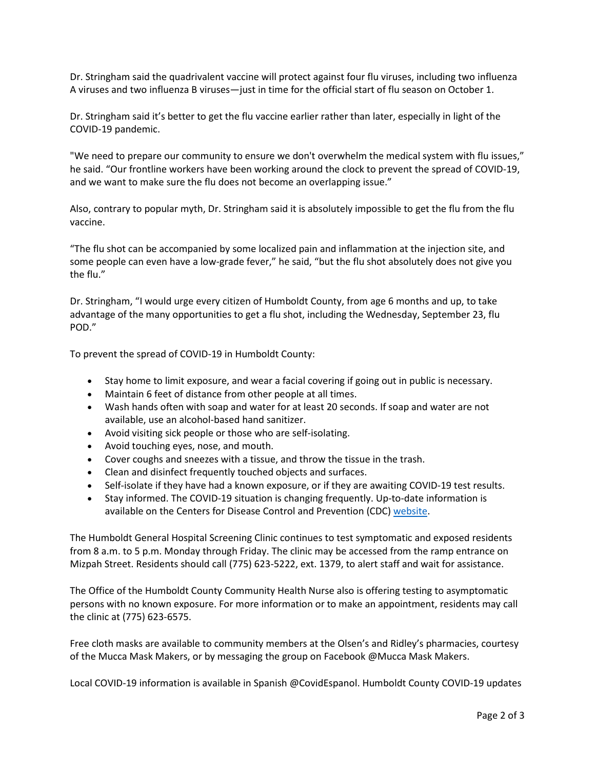Dr. Stringham said the quadrivalent vaccine will protect against four flu viruses, including two influenza A viruses and two influenza B viruses—just in time for the official start of flu season on October 1.

Dr. Stringham said it's better to get the flu vaccine earlier rather than later, especially in light of the COVID-19 pandemic.

"We need to prepare our community to ensure we don't overwhelm the medical system with flu issues," he said. "Our frontline workers have been working around the clock to prevent the spread of COVID-19, and we want to make sure the flu does not become an overlapping issue."

Also, contrary to popular myth, Dr. Stringham said it is absolutely impossible to get the flu from the flu vaccine.

"The flu shot can be accompanied by some localized pain and inflammation at the injection site, and some people can even have a low-grade fever," he said, "but the flu shot absolutely does not give you the flu."

Dr. Stringham, "I would urge every citizen of Humboldt County, from age 6 months and up, to take advantage of the many opportunities to get a flu shot, including the Wednesday, September 23, flu POD."

To prevent the spread of COVID-19 in Humboldt County:

- Stay home to limit exposure, and wear a facial covering if going out in public is necessary.
- Maintain 6 feet of distance from other people at all times.
- Wash hands often with soap and water for at least 20 seconds. If soap and water are not available, use an alcohol-based hand sanitizer.
- Avoid visiting sick people or those who are self-isolating.
- Avoid touching eyes, nose, and mouth.
- Cover coughs and sneezes with a tissue, and throw the tissue in the trash.
- Clean and disinfect frequently touched objects and surfaces.
- Self-isolate if they have had a known exposure, or if they are awaiting COVID-19 test results.
- Stay informed. The COVID-19 situation is changing frequently. Up-to-date information is available on the Centers for Disease Control and Prevention (CDC) [website.](http://www.cdc.gov/coronavirus/2019-ncov/index.html)

The Humboldt General Hospital Screening Clinic continues to test symptomatic and exposed residents from 8 a.m. to 5 p.m. Monday through Friday. The clinic may be accessed from the ramp entrance on Mizpah Street. Residents should call (775) 623-5222, ext. 1379, to alert staff and wait for assistance.

The Office of the Humboldt County Community Health Nurse also is offering testing to asymptomatic persons with no known exposure. For more information or to make an appointment, residents may call the clinic at (775) 623-6575.

Free cloth masks are available to community members at the Olsen's and Ridley's pharmacies, courtesy of the Mucca Mask Makers, or by messaging the group on Facebook @Mucca Mask Makers.

Local COVID-19 information is available in Spanish @CovidEspanol. Humboldt County COVID-19 updates